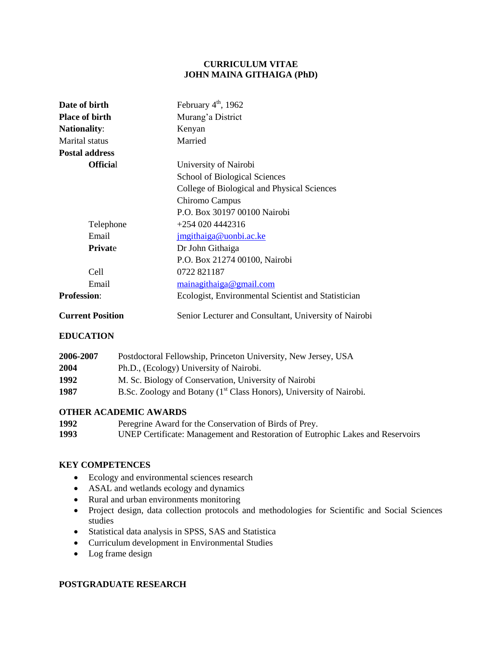## **CURRICULUM VITAE JOHN MAINA GITHAIGA (PhD)**

| Date of birth                                                             | February $4th$ , 1962                                 |
|---------------------------------------------------------------------------|-------------------------------------------------------|
| <b>Place of birth</b><br>Murang'a District                                |                                                       |
| <b>Nationality:</b>                                                       | Kenyan                                                |
| Marital status                                                            | Married                                               |
| <b>Postal address</b>                                                     |                                                       |
| <b>Official</b>                                                           | University of Nairobi                                 |
|                                                                           | School of Biological Sciences                         |
|                                                                           | College of Biological and Physical Sciences           |
|                                                                           | Chiromo Campus                                        |
|                                                                           | P.O. Box 30197 00100 Nairobi                          |
| Telephone                                                                 | $+2540204442316$                                      |
| Email                                                                     | jmgithaiga@uonbi.ac.ke                                |
| <b>Private</b>                                                            | Dr John Githaiga                                      |
|                                                                           | P.O. Box 21274 00100, Nairobi                         |
| Cell                                                                      | 0722 821187                                           |
| Email                                                                     | mainagithaiga@gmail.com                               |
| <b>Profession:</b><br>Ecologist, Environmental Scientist and Statistician |                                                       |
| <b>Current Position</b>                                                   | Senior Lecturer and Consultant, University of Nairobi |

## **EDUCATION**

| 2006-2007 | Postdoctoral Fellowship, Princeton University, New Jersey, USA                  |  |  |
|-----------|---------------------------------------------------------------------------------|--|--|
| 2004      | Ph.D., (Ecology) University of Nairobi.                                         |  |  |
| 1992      | M. Sc. Biology of Conservation, University of Nairobi                           |  |  |
| 1987      | B.Sc. Zoology and Botany (1 <sup>st</sup> Class Honors), University of Nairobi. |  |  |

# **OTHER ACADEMIC AWARDS**

| 1992 | Peregrine Award for the Conservation of Birds of Prey.                         |
|------|--------------------------------------------------------------------------------|
| 1993 | UNEP Certificate: Management and Restoration of Eutrophic Lakes and Reservoirs |

# **KEY COMPETENCES**

- Ecology and environmental sciences research
- ASAL and wetlands ecology and dynamics
- Rural and urban environments monitoring
- Project design, data collection protocols and methodologies for Scientific and Social Sciences studies
- Statistical data analysis in SPSS, SAS and Statistica
- Curriculum development in Environmental Studies
- Log frame design

## **POSTGRADUATE RESEARCH**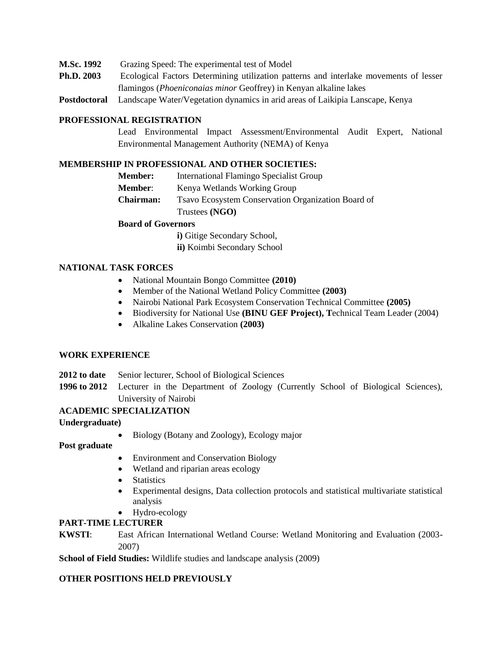- **M.Sc. 1992** Grazing Speed: The experimental test of Model
- **Ph.D. 2003** Ecological Factors Determining utilization patterns and interlake movements of lesser flamingos (*Phoeniconaias minor* Geoffrey) in Kenyan alkaline lakes
- **Postdoctoral** Landscape Water/Vegetation dynamics in arid areas of Laikipia Lanscape, Kenya

#### **PROFESSIONAL REGISTRATION**

Lead Environmental Impact Assessment/Environmental Audit Expert, National Environmental Management Authority (NEMA) of Kenya

### **MEMBERSHIP IN PROFESSIONAL AND OTHER SOCIETIES:**

**Member:** International Flamingo Specialist Group **Member:** Kenya Wetlands Working Group **Chairman:** Tsavo Ecosystem Conservation Organization Board of Trustees **(NGO)**

#### **Board of Governors**

**i**) Gitige Secondary School,

**ii)** Koimbi Secondary School

### **NATIONAL TASK FORCES**

- National Mountain Bongo Committee **(2010)**
- Member of the National Wetland Policy Committee **(2003)**
- Nairobi National Park Ecosystem Conservation Technical Committee **(2005)**
- Biodiversity for National Use **(BINU GEF Project), T**echnical Team Leader (2004)
- Alkaline Lakes Conservation **(2003)**

#### **WORK EXPERIENCE**

- **2012 to date** Senior lecturer, School of Biological Sciences
- **1996 to 2012** Lecturer in the Department of Zoology (Currently School of Biological Sciences), University of Nairobi

# **ACADEMIC SPECIALIZATION**

#### **Undergraduate)**

Biology (Botany and Zoology), Ecology major

**Post graduate**

- Environment and Conservation Biology
- Wetland and riparian areas ecology
- Statistics
- Experimental designs, Data collection protocols and statistical multivariate statistical analysis
- Hydro-ecology

## **PART-TIME LECTURER**

**KWSTI**: East African International Wetland Course: Wetland Monitoring and Evaluation (2003- 2007)

**School of Field Studies:** Wildlife studies and landscape analysis (2009)

## **OTHER POSITIONS HELD PREVIOUSLY**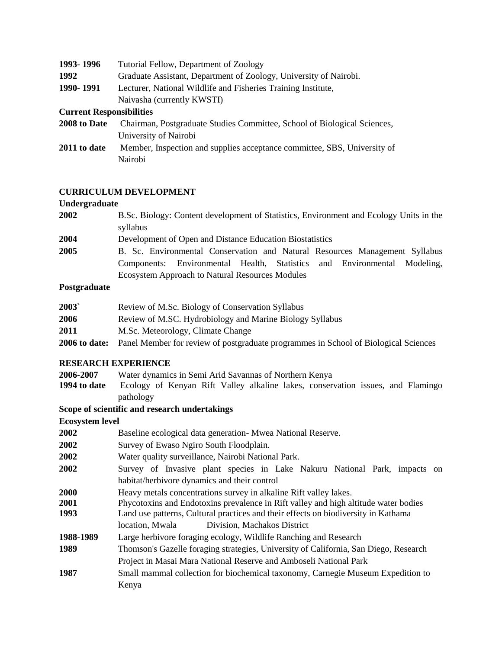| 1993-1996                       | Tutorial Fellow, Department of Zoology                                   |  |  |
|---------------------------------|--------------------------------------------------------------------------|--|--|
| 1992                            | Graduate Assistant, Department of Zoology, University of Nairobi.        |  |  |
| 1990-1991                       | Lecturer, National Wildlife and Fisheries Training Institute,            |  |  |
|                                 | Naivasha (currently KWSTI)                                               |  |  |
| <b>Current Responsibilities</b> |                                                                          |  |  |
| 2008 to Date                    | Chairman, Postgraduate Studies Committee, School of Biological Sciences, |  |  |
|                                 | University of Nairobi                                                    |  |  |
| 2011 to date                    | Member, Inspection and supplies acceptance committee, SBS, University of |  |  |
|                                 | Nairobi                                                                  |  |  |

# **CURRICULUM DEVELOPMENT**

# **Undergraduate**

| 2002 | B.Sc. Biology: Content development of Statistics, Environment and Ecology Units in the |  |  |  |
|------|----------------------------------------------------------------------------------------|--|--|--|
|      | syllabus                                                                               |  |  |  |
| 2004 | Development of Open and Distance Education Biostatistics                               |  |  |  |
| 2005 | B. Sc. Environmental Conservation and Natural Resources Management Syllabus            |  |  |  |
|      | Components: Environmental Health, Statistics and Environmental Modeling,               |  |  |  |
|      | <b>Ecosystem Approach to Natural Resources Modules</b>                                 |  |  |  |

# **Postgraduate**

| 2003          | Review of M.Sc. Biology of Conservation Syllabus                                    |
|---------------|-------------------------------------------------------------------------------------|
| 2006          | Review of M.SC. Hydrobiology and Marine Biology Syllabus                            |
| 2011          | M.Sc. Meteorology, Climate Change                                                   |
| 2006 to date: | Panel Member for review of postgraduate programmes in School of Biological Sciences |

# **RESEARCH EXPERIENCE**

**2006-2007** Water dynamics in Semi Arid Savannas of Northern Kenya Ecology of Kenyan Rift Valley alkaline lakes, conservation issues, and Flamingo pathology

**Scope of scientific and research undertakings**

# **Ecosystem level**

| 2002        | Baseline ecological data generation- Mwea National Reserve.                          |  |  |  |
|-------------|--------------------------------------------------------------------------------------|--|--|--|
| 2002        | Survey of Ewaso Ngiro South Floodplain.                                              |  |  |  |
| <b>2002</b> | Water quality surveillance, Nairobi National Park.                                   |  |  |  |
| 2002        | Survey of Invasive plant species in Lake Nakuru National Park, impacts on            |  |  |  |
|             | habitat/herbivore dynamics and their control                                         |  |  |  |
| <b>2000</b> | Heavy metals concentrations survey in alkaline Rift valley lakes.                    |  |  |  |
| 2001        | Phycotoxins and Endotoxins prevalence in Rift valley and high altitude water bodies  |  |  |  |
| 1993        | Land use patterns, Cultural practices and their effects on biodiversity in Kathama   |  |  |  |
|             | Division, Machakos District<br>location, Mwala                                       |  |  |  |
| 1988-1989   | Large herbivore foraging ecology, Wildlife Ranching and Research                     |  |  |  |
| 1989        | Thomson's Gazelle foraging strategies, University of California, San Diego, Research |  |  |  |
|             | Project in Masai Mara National Reserve and Amboseli National Park                    |  |  |  |
| 1987        | Small mammal collection for biochemical taxonomy, Carnegie Museum Expedition to      |  |  |  |
|             | Kenya                                                                                |  |  |  |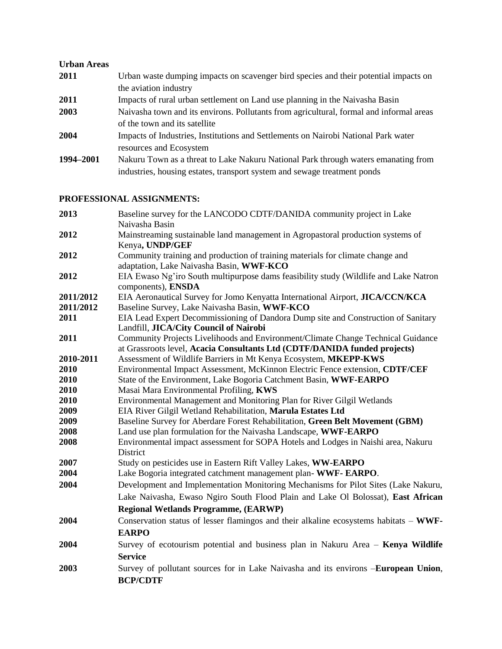#### **Urban Areas**

**2011** Urban waste dumping impacts on scavenger bird species and their potential impacts on the aviation industry **2011** Impacts of rural urban settlement on Land use planning in the Naivasha Basin **2003** Naivasha town and its environs. Pollutants from agricultural, formal and informal areas of the town and its satellite **2004** Impacts of Industries, Institutions and Settlements on Nairobi National Park water resources and Ecosystem **1994–2001** Nakuru Town as a threat to Lake Nakuru National Park through waters emanating from industries, housing estates, transport system and sewage treatment ponds

# **PROFESSIONAL ASSIGNMENTS:**

| 2013      | Baseline survey for the LANCODO CDTF/DANIDA community project in Lake<br>Naivasha Basin                                                                       |  |  |
|-----------|---------------------------------------------------------------------------------------------------------------------------------------------------------------|--|--|
| 2012      | Mainstreaming sustainable land management in Agropastoral production systems of<br>Kenya, UNDP/GEF                                                            |  |  |
| 2012      | Community training and production of training materials for climate change and<br>adaptation, Lake Naivasha Basin, WWF-KCO                                    |  |  |
| 2012      | EIA Ewaso Ng'iro South multipurpose dams feasibility study (Wildlife and Lake Natron<br>components), ENSDA                                                    |  |  |
| 2011/2012 | EIA Aeronautical Survey for Jomo Kenyatta International Airport, JICA/CCN/KCA                                                                                 |  |  |
| 2011/2012 | Baseline Survey, Lake Naivasha Basin, WWF-KCO                                                                                                                 |  |  |
| 2011      | EIA Lead Expert Decommissioning of Dandora Dump site and Construction of Sanitary<br>Landfill, JICA/City Council of Nairobi                                   |  |  |
| 2011      | Community Projects Livelihoods and Environment/Climate Change Technical Guidance<br>at Grassroots level, Acacia Consultants Ltd (CDTF/DANIDA funded projects) |  |  |
| 2010-2011 | Assessment of Wildlife Barriers in Mt Kenya Ecosystem, MKEPP-KWS                                                                                              |  |  |
| 2010      | Environmental Impact Assessment, McKinnon Electric Fence extension, CDTF/CEF                                                                                  |  |  |
| 2010      | State of the Environment, Lake Bogoria Catchment Basin, WWF-EARPO                                                                                             |  |  |
| 2010      | Masai Mara Environmental Profiling, KWS                                                                                                                       |  |  |
| 2010      | Environmental Management and Monitoring Plan for River Gilgil Wetlands                                                                                        |  |  |
| 2009      | EIA River Gilgil Wetland Rehabilitation, Marula Estates Ltd                                                                                                   |  |  |
| 2009      | Baseline Survey for Aberdare Forest Rehabilitation, Green Belt Movement (GBM)                                                                                 |  |  |
| 2008      | Land use plan formulation for the Naivasha Landscape, WWF-EARPO                                                                                               |  |  |
| 2008      | Environmental impact assessment for SOPA Hotels and Lodges in Naishi area, Nakuru<br>District                                                                 |  |  |
| 2007      | Study on pesticides use in Eastern Rift Valley Lakes, WW-EARPO                                                                                                |  |  |
| 2004      | Lake Bogoria integrated catchment management plan-WWF-EARPO.                                                                                                  |  |  |
| 2004      | Development and Implementation Monitoring Mechanisms for Pilot Sites (Lake Nakuru,                                                                            |  |  |
|           | Lake Naivasha, Ewaso Ngiro South Flood Plain and Lake Ol Bolossat), East African                                                                              |  |  |
|           | <b>Regional Wetlands Programme, (EARWP)</b>                                                                                                                   |  |  |
| 2004      | Conservation status of lesser flamingos and their alkaline ecosystems habitats - WWF-                                                                         |  |  |
|           | <b>EARPO</b>                                                                                                                                                  |  |  |
| 2004      | Survey of ecotourism potential and business plan in Nakuru Area - Kenya Wildlife                                                                              |  |  |
|           | <b>Service</b>                                                                                                                                                |  |  |
| 2003      | Survey of pollutant sources for in Lake Naivasha and its environs -European Union,                                                                            |  |  |
|           | <b>BCP/CDTF</b>                                                                                                                                               |  |  |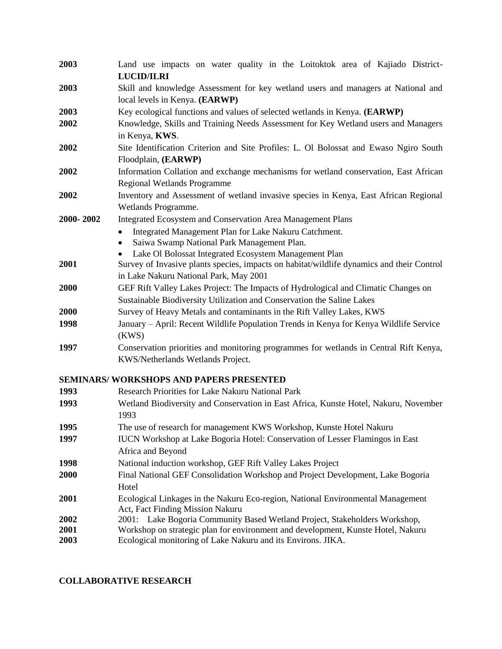| 2003      | Land use impacts on water quality in the Loitoktok area of Kajiado District-<br><b>LUCID/ILRI</b> |  |  |
|-----------|---------------------------------------------------------------------------------------------------|--|--|
| 2003      | Skill and knowledge Assessment for key wetland users and managers at National and                 |  |  |
|           | local levels in Kenya. (EARWP)                                                                    |  |  |
| 2003      | Key ecological functions and values of selected wetlands in Kenya. (EARWP)                        |  |  |
| 2002      | Knowledge, Skills and Training Needs Assessment for Key Wetland users and Managers                |  |  |
|           | in Kenya, KWS.                                                                                    |  |  |
| 2002      | Site Identification Criterion and Site Profiles: L. Ol Bolossat and Ewaso Ngiro South             |  |  |
|           | Floodplain, (EARWP)                                                                               |  |  |
| 2002      | Information Collation and exchange mechanisms for wetland conservation, East African              |  |  |
|           | <b>Regional Wetlands Programme</b>                                                                |  |  |
| 2002      | Inventory and Assessment of wetland invasive species in Kenya, East African Regional              |  |  |
|           | Wetlands Programme.                                                                               |  |  |
| 2000-2002 | Integrated Ecosystem and Conservation Area Management Plans                                       |  |  |
|           | Integrated Management Plan for Lake Nakuru Catchment.<br>$\bullet$                                |  |  |
|           | Saiwa Swamp National Park Management Plan.<br>$\bullet$                                           |  |  |
|           | Lake Ol Bolossat Integrated Ecosystem Management Plan                                             |  |  |
| 2001      | Survey of Invasive plants species, impacts on habitat/wildlife dynamics and their Control         |  |  |
|           | in Lake Nakuru National Park, May 2001                                                            |  |  |
| 2000      | GEF Rift Valley Lakes Project: The Impacts of Hydrological and Climatic Changes on                |  |  |
|           | Sustainable Biodiversity Utilization and Conservation the Saline Lakes                            |  |  |
| 2000      | Survey of Heavy Metals and contaminants in the Rift Valley Lakes, KWS                             |  |  |
| 1998      | January – April: Recent Wildlife Population Trends in Kenya for Kenya Wildlife Service            |  |  |
|           | (KWS)                                                                                             |  |  |
| 1997      | Conservation priorities and monitoring programmes for wetlands in Central Rift Kenya,             |  |  |
|           | KWS/Netherlands Wetlands Project.                                                                 |  |  |
|           | <b>SEMINARS/ WORKSHOPS AND PAPERS PRESENTED</b>                                                   |  |  |
| 1993      | Research Priorities for Lake Nakuru National Park                                                 |  |  |
| 1993      | Wetland Biodiversity and Conservation in East Africa, Kunste Hotel, Nakuru, November              |  |  |
|           | 1993                                                                                              |  |  |
| 1995      | The use of research for management KWS Workshop, Kunste Hotel Nakuru                              |  |  |
| 1997      | IUCN Workshop at Lake Bogoria Hotel: Conservation of Lesser Flamingos in East                     |  |  |
|           | Africa and Beyond                                                                                 |  |  |
| 1998      | National induction workshop, GEF Rift Valley Lakes Project                                        |  |  |
| 2000      | Final National GEF Consolidation Workshop and Project Development, Lake Bogoria                   |  |  |
|           | Hotel                                                                                             |  |  |
| 2001      | Ecological Linkages in the Nakuru Eco-region, National Environmental Management                   |  |  |
|           | Act, Fact Finding Mission Nakuru                                                                  |  |  |
| 2002      | 2001: Lake Bogoria Community Based Wetland Project, Stakeholders Workshop,                        |  |  |
| 2001      | Workshop on strategic plan for environment and development, Kunste Hotel, Nakuru                  |  |  |
| 2003      | Ecological monitoring of Lake Nakuru and its Environs. JIKA.                                      |  |  |

# **COLLABORATIVE RESEARCH**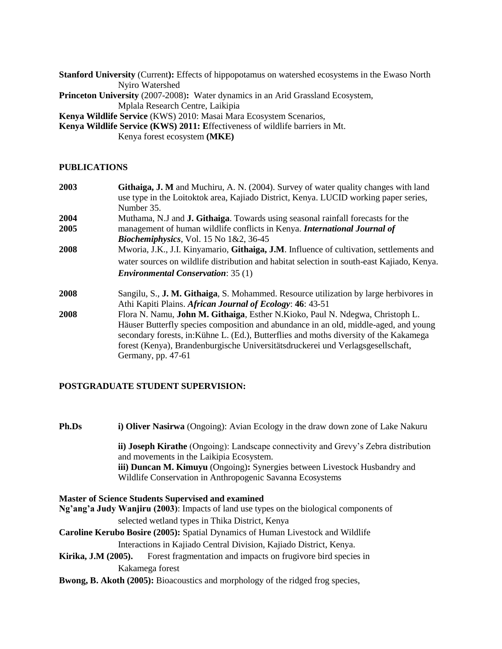**Stanford University** (Current**):** Effects of hippopotamus on watershed ecosystems in the Ewaso North Nyiro Watershed

**Princeton University** (2007-2008)**:** Water dynamics in an Arid Grassland Ecosystem, Mplala Research Centre, Laikipia

**Kenya Wildlife Service** (KWS) 2010: Masai Mara Ecosystem Scenarios,

**Kenya Wildlife Service (KWS) 2011: E**ffectiveness of wildlife barriers in Mt.

Kenya forest ecosystem **(MKE)**

# **PUBLICATIONS**

| 2003<br><b>Githaiga, J. M</b> and Muchiru, A. N. (2004). Survey of water quality changes with land |                                                                                               |  |  |
|----------------------------------------------------------------------------------------------------|-----------------------------------------------------------------------------------------------|--|--|
|                                                                                                    | use type in the Loitoktok area, Kajiado District, Kenya. LUCID working paper series,          |  |  |
|                                                                                                    | Number 35.                                                                                    |  |  |
| 2004                                                                                               | Muthama, N.J and <b>J. Githaiga</b> . Towards using seasonal rainfall forecasts for the       |  |  |
| 2005                                                                                               | management of human wildlife conflicts in Kenya. International Journal of                     |  |  |
|                                                                                                    | <i>Biochemiphysics</i> , Vol. 15 No $1&2$ , 36-45                                             |  |  |
| 2008                                                                                               | Mworia, J.K., J.I. Kinyamario, Githaiga, J.M. Influence of cultivation, settlements and       |  |  |
|                                                                                                    | water sources on wildlife distribution and habitat selection in south-east Kajiado, Kenya.    |  |  |
|                                                                                                    | <b>Environmental Conservation: 35 (1)</b>                                                     |  |  |
| 2008                                                                                               | Sangilu, S., <b>J. M. Githaiga</b> , S. Mohammed. Resource utilization by large herbivores in |  |  |
|                                                                                                    | Athi Kapiti Plains. African Journal of Ecology: 46: 43-51                                     |  |  |
| 2008                                                                                               | Flora N. Namu, John M. Githaiga, Esther N. Kioko, Paul N. Ndegwa, Christoph L.                |  |  |
|                                                                                                    | Häuser Butterfly species composition and abundance in an old, middle-aged, and young          |  |  |
|                                                                                                    | secondary forests, in: Kühne L. (Ed.), Butterflies and moths diversity of the Kakamega        |  |  |
|                                                                                                    | forest (Kenya), Brandenburgische Universitätsdruckerei und Verlagsgesellschaft,               |  |  |
|                                                                                                    | Germany, pp. 47-61                                                                            |  |  |
|                                                                                                    |                                                                                               |  |  |

# **POSTGRADUATE STUDENT SUPERVISION:**

**Ph.Ds i) Oliver Nasirwa** (Ongoing): Avian Ecology in the draw down zone of Lake Nakuru

**ii) Joseph Kirathe** (Ongoing): Landscape connectivity and Grevy's Zebra distribution and movements in the Laikipia Ecosystem.

**iii) Duncan M. Kimuyu** (Ongoing)**:** Synergies between Livestock Husbandry and Wildlife Conservation in Anthropogenic Savanna Ecosystems

**Master of Science Students Supervised and examined Ng'ang'a Judy Wanjiru (2003)**: Impacts of land use types on the biological components of selected wetland types in Thika District, Kenya **Caroline Kerubo Bosire (2005):** Spatial Dynamics of Human Livestock and Wildlife Interactions in Kajiado Central Division, Kajiado District, Kenya. **Kirika, J.M (2005).** Forest fragmentation and impacts on frugivore bird species in

Kakamega forest

**Bwong, B. Akoth (2005):** Bioacoustics and morphology of the ridged frog species,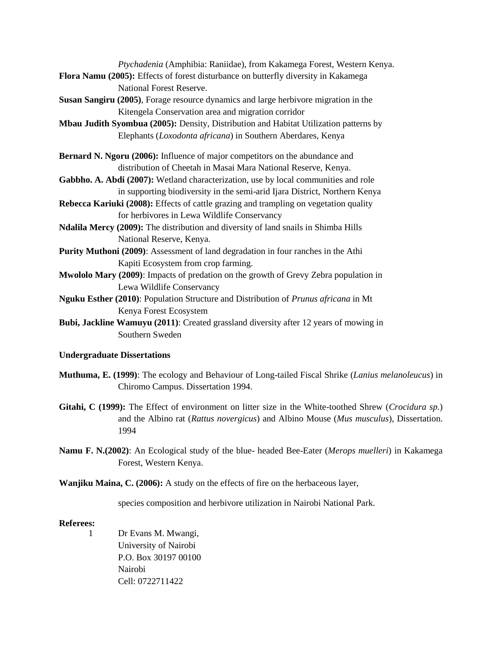*Ptychadenia* (Amphibia: Raniidae), from Kakamega Forest, Western Kenya.

- **Flora Namu (2005):** Effects of forest disturbance on butterfly diversity in Kakamega National Forest Reserve.
- **Susan Sangiru (2005)**, Forage resource dynamics and large herbivore migration in the Kitengela Conservation area and migration corridor
- **Mbau Judith Syombua (2005):** Density, Distribution and Habitat Utilization patterns by Elephants (*Loxodonta africana*) in Southern Aberdares, Kenya
- **Bernard N. Ngoru (2006):** Influence of major competitors on the abundance and distribution of Cheetah in Masai Mara National Reserve, Kenya.
- **Gabbho. A. Abdi (2007):** Wetland characterization, use by local communities and role in supporting biodiversity in the semi-arid Ijara District, Northern Kenya
- **Rebecca Kariuki (2008):** Effects of cattle grazing and trampling on vegetation quality for herbivores in Lewa Wildlife Conservancy
- **Ndalila Mercy (2009):** The distribution and diversity of land snails in Shimba Hills National Reserve, Kenya.
- **Purity Muthoni (2009)**: Assessment of land degradation in four ranches in the Athi Kapiti Ecosystem from crop farming.
- **Mwololo Mary (2009)**: Impacts of predation on the growth of Grevy Zebra population in Lewa Wildlife Conservancy
- **Nguku Esther (2010)**: Population Structure and Distribution of *Prunus africana* in Mt Kenya Forest Ecosystem
- **Bubi, Jackline Wamuyu (2011)**: Created grassland diversity after 12 years of mowing in Southern Sweden

## **Undergraduate Dissertations**

- **Muthuma, E. (1999)**: The ecology and Behaviour of Long-tailed Fiscal Shrike (*Lanius melanoleucus*) in Chiromo Campus. Dissertation 1994.
- **Gitahi, C (1999):** The Effect of environment on litter size in the White-toothed Shrew (*Crocidura sp.*) and the Albino rat (*Rattus novergicus*) and Albino Mouse (*Mus musculus*), Dissertation. 1994
- **Namu F. N.(2002)**: An Ecological study of the blue- headed Bee-Eater (*Merops muelleri*) in Kakamega Forest, Western Kenya.
- **Wanjiku Maina, C. (2006):** A study on the effects of fire on the herbaceous layer,

species composition and herbivore utilization in Nairobi National Park.

## **Referees:**

1 Dr Evans M. Mwangi, University of Nairobi P.O. Box 30197 00100 Nairobi Cell: 0722711422